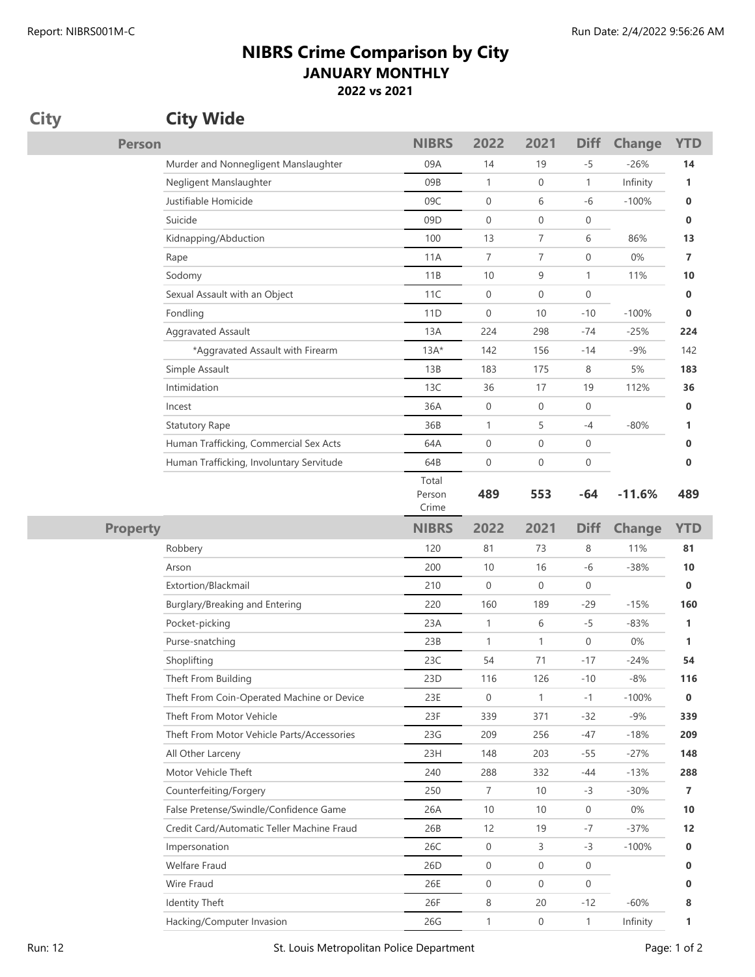## **NIBRS Crime Comparison by City JANUARY MONTHLY 2022 vs 2021**

| <b>City</b>     | <b>City Wide</b>      |                                            |                          |                  |                  |                  |               |            |
|-----------------|-----------------------|--------------------------------------------|--------------------------|------------------|------------------|------------------|---------------|------------|
|                 | <b>Person</b>         |                                            | <b>NIBRS</b>             | 2022             | 2021             | <b>Diff</b>      | <b>Change</b> | <b>YTD</b> |
|                 |                       | Murder and Nonnegligent Manslaughter       | 09A                      | 14               | 19               | -5               | $-26%$        | 14         |
|                 |                       | Negligent Manslaughter                     | 09B                      | $\mathbf{1}$     | $\boldsymbol{0}$ | $\mathbf{1}$     | Infinity      | 1          |
|                 |                       | Justifiable Homicide                       | 09C                      | $\mathbf 0$      | 6                | -6               | $-100%$       | 0          |
|                 | Suicide               |                                            | 09D                      | $\boldsymbol{0}$ | 0                | 0                |               | 0          |
|                 |                       | Kidnapping/Abduction                       | 100                      | 13               | 7                | 6                | 86%           | 13         |
|                 | Rape                  |                                            | 11A                      | $\overline{7}$   | 7                | 0                | $0\%$         | 7          |
|                 | Sodomy                |                                            | 11B                      | 10               | 9                | $\mathbf{1}$     | 11%           | 10         |
|                 |                       | Sexual Assault with an Object              | 11C                      | $\boldsymbol{0}$ | $\boldsymbol{0}$ | 0                |               | 0          |
|                 | Fondling              |                                            | 11 <sub>D</sub>          | $\mathbf 0$      | 10               | $-10$            | $-100%$       | 0          |
|                 |                       | Aggravated Assault                         | 13A                      | 224              | 298              | -74              | $-25%$        | 224        |
|                 |                       | *Aggravated Assault with Firearm           | $13A*$                   | 142              | 156              | $-14$            | $-9%$         | 142        |
|                 | Simple Assault        |                                            | 13B                      | 183              | 175              | 8                | 5%            | 183        |
|                 | Intimidation          |                                            | 13C                      | 36               | 17               | 19               | 112%          | 36         |
|                 | Incest                |                                            | 36A                      | $\overline{0}$   | 0                | 0                |               | 0          |
|                 | <b>Statutory Rape</b> |                                            | 36B                      | 1                | 5                | $-4$             | $-80%$        | 1          |
|                 |                       | Human Trafficking, Commercial Sex Acts     | 64A                      | $\mathbf 0$      | $\boldsymbol{0}$ | 0                |               | 0          |
|                 |                       | Human Trafficking, Involuntary Servitude   | 64B                      | $\mathbf 0$      | $\boldsymbol{0}$ | $\boldsymbol{0}$ |               | 0          |
|                 |                       |                                            | Total<br>Person<br>Crime | 489              | 553              | $-64$            | $-11.6%$      | 489        |
| <b>Property</b> |                       |                                            |                          |                  |                  |                  |               |            |
|                 |                       |                                            | <b>NIBRS</b>             | 2022             | 2021             | <b>Diff</b>      | <b>Change</b> | <b>YTD</b> |
|                 | Robbery               |                                            | 120                      | 81               | 73               | 8                | 11%           | 81         |
|                 | Arson                 |                                            | 200                      | 10               | 16               | $-6$             | $-38%$        | 10         |
|                 |                       | Extortion/Blackmail                        | 210                      | $\mathbf 0$      | $\mathbf 0$      | 0                |               | 0          |
|                 |                       | Burglary/Breaking and Entering             | 220                      | 160              | 189              | $-29$            | $-15%$        | 160        |
|                 | Pocket-picking        |                                            | 23A                      | $\mathbf{1}$     | 6                | -5               | $-83%$        | 1          |
|                 |                       | Purse-snatching                            | 23B                      | $\mathbf{1}$     | 1                | 0                | 0%            | 1          |
|                 | Shoplifting           |                                            | 23C                      | 54               | 71               | $-17$            | $-24%$        | 54         |
|                 |                       | Theft From Building                        | 23D                      | 116              | 126              | $-10$            | $-8%$         | 116        |
|                 |                       | Theft From Coin-Operated Machine or Device | 23E                      | $\boldsymbol{0}$ | $\mathbf{1}$     | $-1$             | $-100%$       | 0          |
|                 |                       | Theft From Motor Vehicle                   | 23F                      | 339              | 371              | $-32$            | $-9%$         | 339        |
|                 |                       | Theft From Motor Vehicle Parts/Accessories | 23G                      | 209              | 256              | -47              | $-18%$        | 209        |
|                 |                       | All Other Larceny                          | 23H                      | 148              | 203              | $-55$            | $-27%$        | 148        |
|                 |                       | Motor Vehicle Theft                        | 240                      | 288              | 332              | -44              | $-13%$        | 288        |
|                 |                       | Counterfeiting/Forgery                     | 250                      | 7                | 10               | $-3$             | $-30%$        | 7          |
|                 |                       | False Pretense/Swindle/Confidence Game     | 26A                      | 10               | 10               | 0                | 0%            | 10         |
|                 |                       | Credit Card/Automatic Teller Machine Fraud | 26B                      | 12               | 19               | $-7$             | $-37%$        | 12         |
|                 | Impersonation         |                                            | 26C                      | $\mathbf 0$      | 3                | $-3$             | $-100%$       | 0          |
|                 | Welfare Fraud         |                                            | 26 <sub>D</sub>          | $\overline{0}$   | 0                | 0                |               | 0          |
|                 | Wire Fraud            |                                            | 26E                      | $\mathbf 0$      | $\overline{0}$   | 0                |               | 0          |
|                 | <b>Identity Theft</b> |                                            | 26F                      | 8                | 20               | $-12$            | $-60%$        | 8          |